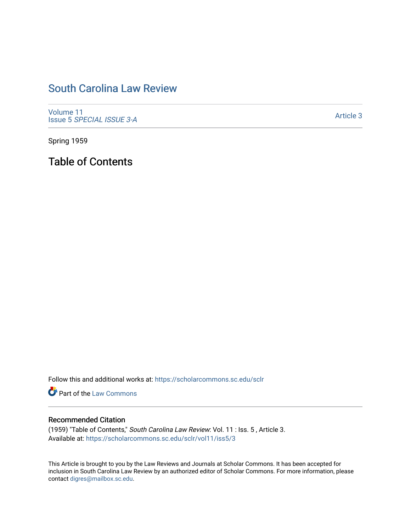## [South Carolina Law Review](https://scholarcommons.sc.edu/sclr)

[Volume 11](https://scholarcommons.sc.edu/sclr/vol11) Issue 5 [SPECIAL ISSUE 3-A](https://scholarcommons.sc.edu/sclr/vol11/iss5)

[Article 3](https://scholarcommons.sc.edu/sclr/vol11/iss5/3) 

Spring 1959

Table of Contents

Follow this and additional works at: [https://scholarcommons.sc.edu/sclr](https://scholarcommons.sc.edu/sclr?utm_source=scholarcommons.sc.edu%2Fsclr%2Fvol11%2Fiss5%2F3&utm_medium=PDF&utm_campaign=PDFCoverPages)

**Part of the [Law Commons](http://network.bepress.com/hgg/discipline/578?utm_source=scholarcommons.sc.edu%2Fsclr%2Fvol11%2Fiss5%2F3&utm_medium=PDF&utm_campaign=PDFCoverPages)** 

### Recommended Citation

(1959) "Table of Contents," South Carolina Law Review: Vol. 11 : Iss. 5 , Article 3. Available at: [https://scholarcommons.sc.edu/sclr/vol11/iss5/3](https://scholarcommons.sc.edu/sclr/vol11/iss5/3?utm_source=scholarcommons.sc.edu%2Fsclr%2Fvol11%2Fiss5%2F3&utm_medium=PDF&utm_campaign=PDFCoverPages)

This Article is brought to you by the Law Reviews and Journals at Scholar Commons. It has been accepted for inclusion in South Carolina Law Review by an authorized editor of Scholar Commons. For more information, please contact [digres@mailbox.sc.edu.](mailto:digres@mailbox.sc.edu)